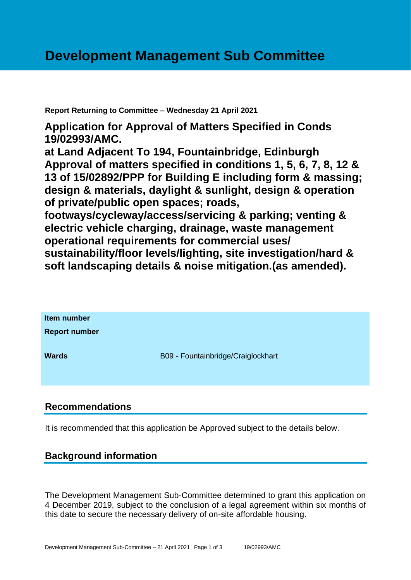**Report Returning to Committee – Wednesday 21 April 2021**

**Application for Approval of Matters Specified in Conds 19/02993/AMC.**

**at Land Adjacent To 194, Fountainbridge, Edinburgh Approval of matters specified in conditions 1, 5, 6, 7, 8, 12 & 13 of 15/02892/PPP for Building E including form & massing; design & materials, daylight & sunlight, design & operation of private/public open spaces; roads,** 

**footways/cycleway/access/servicing & parking; venting & electric vehicle charging, drainage, waste management operational requirements for commercial uses/** 

**sustainability/floor levels/lighting, site investigation/hard & soft landscaping details & noise mitigation.(as amended).**

| Item number<br><b>Report number</b> |                                    |
|-------------------------------------|------------------------------------|
| <b>Wards</b>                        | B09 - Fountainbridge/Craiglockhart |

# **Recommendations**

It is recommended that this application be Approved subject to the details below.

# **Background information**

The Development Management Sub-Committee determined to grant this application on 4 December 2019, subject to the conclusion of a legal agreement within six months of this date to secure the necessary delivery of on-site affordable housing.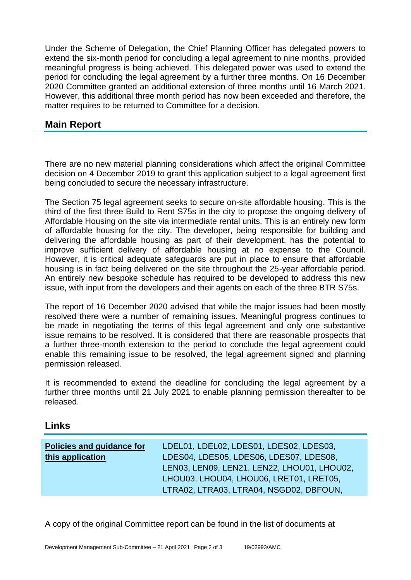Under the Scheme of Delegation, the Chief Planning Officer has delegated powers to extend the six-month period for concluding a legal agreement to nine months, provided meaningful progress is being achieved. This delegated power was used to extend the period for concluding the legal agreement by a further three months. On 16 December 2020 Committee granted an additional extension of three months until 16 March 2021. However, this additional three month period has now been exceeded and therefore, the matter requires to be returned to Committee for a decision.

## **Main Report**

There are no new material planning considerations which affect the original Committee decision on 4 December 2019 to grant this application subject to a legal agreement first being concluded to secure the necessary infrastructure.

The Section 75 legal agreement seeks to secure on-site affordable housing. This is the third of the first three Build to Rent S75s in the city to propose the ongoing delivery of Affordable Housing on the site via intermediate rental units. This is an entirely new form of affordable housing for the city. The developer, being responsible for building and delivering the affordable housing as part of their development, has the potential to improve sufficient delivery of affordable housing at no expense to the Council. However, it is critical adequate safeguards are put in place to ensure that affordable housing is in fact being delivered on the site throughout the 25-year affordable period. An entirely new bespoke schedule has required to be developed to address this new issue, with input from the developers and their agents on each of the three BTR S75s.

The report of 16 December 2020 advised that while the major issues had been mostly resolved there were a number of remaining issues. Meaningful progress continues to be made in negotiating the terms of this legal agreement and only one substantive issue remains to be resolved. It is considered that there are reasonable prospects that a further three-month extension to the period to conclude the legal agreement could enable this remaining issue to be resolved, the legal agreement signed and planning permission released.

It is recommended to extend the deadline for concluding the legal agreement by a further three months until 21 July 2021 to enable planning permission thereafter to be released.

#### **Links**

| <b>Policies and guidance for</b> | LDEL01, LDEL02, LDES01, LDES02, LDES03,     |
|----------------------------------|---------------------------------------------|
| this application                 | LDES04, LDES05, LDES06, LDES07, LDES08,     |
|                                  | LEN03, LEN09, LEN21, LEN22, LHOU01, LHOU02, |
|                                  | LHOU03, LHOU04, LHOU06, LRET01, LRET05,     |
|                                  | LTRA02, LTRA03, LTRA04, NSGD02, DBFOUN,     |

A copy of the original Committee report can be found in the list of documents at